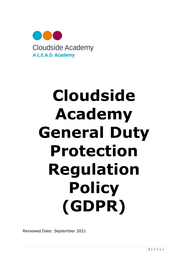

# Cloudside Academy General Duty Protection Regulation **Policy** (GDPR)

Reviewed Date: September 2021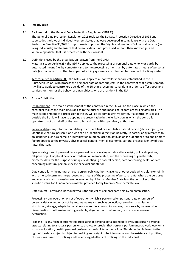# 1. Introduction

# 1.1 Background to the General Data Protection Regulation ('GDPR')

The General Data Protection Regulation 2016 replaces the EU Data Protection Directive of 1995 and supersedes the laws of individual Member States that were developed in compliance with the Data Protection Directive 95/46/EC. Its purpose is to protect the "rights and freedoms" of natural persons (i.e. living individuals) and to ensure that personal data is not processed without their knowledge, and, wherever possible, that it is processed with their consent.

# 1.2 Definitions used by the organisation (drawn from the GDPR)

Material scope (Article 2) – the GDPR applies to the processing of personal data wholly or partly by automated means (i.e. by computer) and to the processing other than by automated means of personal data (i.e. paper records) that form part of a filing system or are intended to form part of a filing system.

Territorial scope (Article 3) – the GDPR will apply to all controllers that are established in the EU (European Union) who process the personal data of data subjects, in the context of that establishment. It will also apply to controllers outside of the EU that process personal data in order to offer goods and services, or monitor the behavr of data subjects who are resident in the EU.

#### 1.3 Article 4 definitions

Establishment – the main establishment of the controller in the EU will be the place in which the controller makes the main decisions as to the purpose and means of its data processing activities. The main establishment of a processor in the EU will be its administrative center. If a controller is based outside the EU, it will have to appoint a representative in the jurisdiction in which the controller operates to act on behalf of the controller and deal with supervisory authorities.

Personal data – any information relating to an identified or identifiable natural person ('data subject'); an identifiable natural person is one who can be identified, directly or indirectly, in particular by reference to an identifier such as a name, an identification number, location data, an online identifier or to one or more factors specific to the physical, physiological, genetic, mental, economic, cultural or social identity of that natural person.

Special categories of personal data – personal data revealing racial or ethnic origin, political opinions, religious or philosophical beliefs, or trade-union membership, and the processing of genetic data, biometric data for the purpose of uniquely identifying a natural person, data concerning health or data concerning a natural person's sex life or sexual orientation.

Data controller – the natural or legal person, public authority, agency or other body which, alone or jointly with others, determines the purposes and means of the processing of personal data; where the purposes and means of such processing are determined by Union or Member State law, the controller or the specific criteria for its nomination may be provided for by Union or Member State law.

Data subject – any living individual who is the subject of personal data held by an organisation.

Processing – any operation or set of operations which is performed on personal data or on sets of personal data, whether or not by automated means, such as collection, recording, organisation, structuring, storage, adaptation or alteration, retrieval, consultation, use, disclosure by transmission, dissemination or otherwise making available, alignment or combination, restriction, erasure or destruction.

Profiling – is any form of automated processing of personal data intended to evaluate certain personal aspects relating to a natural person, or to analyse or predict that person's performance at work, economic situation, location, health, personal preferences, reliability, or behaviour. This definition is linked to the right of the data subject to object to profiling and a right to be informed about the existence of profiling, of measures based on profiling and the envisaged effects of profiling on the individual.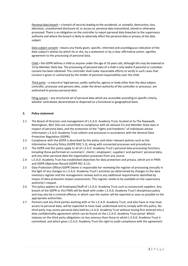Personal data breach – a breach of security leading to the accidental, or unlawful, destruction, loss, alteration, unauthorised disclosure of, or access to, personal data transmitted, stored or otherwise processed. There is an obligation on the controller to report personal data breaches to the supervisory authority and where the breach is likely to adversely affect the personal data or privacy of the data subject.

Data subject consent - means any freely given, specific, informed and unambiguous indication of the data subject's wishes by which he or she, by a statement or by a clear affirmative action, signifies agreement to the processing of personal data.

Child – the GDPR defines a child as anyone under the age of 16 years old, although this may be lowered to 13 by Member State law. The processing of personal data of a child is only lawful if parental or custodian consent has been obtained. The controller shall make reasonable efforts to verify in such cases that consent is given or authorised by the holder of parental responsibility over the child.

Third party – a natural or legal person, public authority, agency or body other than the data subject, controller, processor and persons who, under the direct authority of the controller or processor, are authorised to process personal data.

Filing system – any structured set of personal data which are accessible according to specific criteria, whether centralised, decentralised or dispersed on a functional or geographical basis.

# 2. Policy statement

- 2.1 The Board of Directors and management of L.E.A.D. Academy Trust, located at 5a The Ropewalk, Nottingham, NG1 5DU are committed to compliance with all relevant EU and Member State laws in respect of personal data, and the protection of the "rights and freedoms" of individuals whose information L.E.A.D. Academy Trust collects and processes in accordance with the General Data Protection Regulation (GDPR).
- 2.2 Compliance with the GDPR is described by this policy and other relevant policies such as the Information Security Policy (GDPR DOC 5.2), along with connected processes and procedures.
- 2.3 The GDPR and this policy apply to all of L.E.A.D. Academy Trust's personal data processing functions, including those performed on customers', clients', employees', suppliers' and partners' personal data, and any other personal data the organisation processes from any source.
- 2.4 L.E.A.D. Academy Trust has established objectives for data protection and privacy, which are in PIMS and GDPR Objectives Record (GDPR REC 4.11).
- 2.5 Data Protection Officer/GDPR Owner is responsible for reviewing the register of processing annually in the light of any changes to L.E.A.D. Academy Trust's activities (as determined by changes to the data inventory register and the management review) and to any additional requirements identified by means of data protection impact assessments. This register needs to be available on the supervisory authority's request.
- 2.6 This policy applies to all Employees/Staff of L.E.A.D. Academy Trust such as outsourced suppliers. Any breach of the GDPR or this PIMS will be dealt with under L.E.A.D. Academy Trust's disciplinary policy and may also be a criminal offence, in which case the matter will be reported as soon as possible to the appropriate authorities.
- 2.7 Partners and any third parties working with or for L.E.A.D. Academy Trust, and who have or may have access to personal data, will be expected to have read, understood and to comply with this policy. No third party may access personal data held by L.E.A.D. Academy Trust without having first entered into a data confidentiality agreement which can be found on the L.E.A.D. Academy Trust portal. Which imposes on the third party obligations no less onerous than those to which L.E.A.D. Academy Trust is committed, and which gives L.E.A.D. Academy Trust the right to audit compliance with the agreement.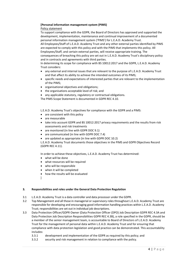# [Personal information management system (PIMS)

# Policy statement

To support compliance with the GDPR, the Board of Directors has approved and supported the development, implementation, maintenance and continual improvement of a documented personal information management system ('PIMS') for L.E.A.D. Academy Trust. All Employees/Staff of L.E.A.D. Academy Trust and any other external parties identified by PIMS are expected to comply with this policy and with the PIMS that implements this policy. All Employees/Staff, and certain external parties, will receive appropriate training. The consequences of breaching this policy are set out in L.E.A.D. Academy Trust's disciplinary policy and in contracts and agreements with third parties.

In determining its scope for compliance with BS 10012:2017 and the GDPR, L.E.A.D. Academy Trust considers:

- any external and internal issues that are relevant to the purpose of L.E.A.D. Academy Trust and that affect its ability to achieve the intended outcomes of its PIMS;
- specific needs and expectations of interested parties that are relevant to the implementation of the PIMS;
- organisational objectives and obligations;
- the organisations acceptable level of risk; and
- any applicable statutory, regulatory or contractual obligations.

The PIMS Scope Statement is documented in GDPR REC 4.10.

L.E.A.D. Academy Trust's objectives for compliance with the GDPR and a PIMS:

- are consistent with this policy
- are measurable
- take into account GDPR and BS 10012:2017 privacy requirements and the results from risk assessments and risk treatments
- are monitored (in line with GDPR DOC 9.1)
- are communicated (in line with GDPR DOC 7.4)
- are updated as appropriate (in line with GDPR DOC 10.2)

L.E.A.D. Academy Trust documents those objectives in the PIMS and GDPR Objectives Record (GDPR REC 4.11).

In order to achieve these objectives, L.E.A.D. Academy Trust has determined:

- what will be done
- what resources will be required
- who will be responsible
- when it will be completed
- how the results will be evaluated
- ]

# 3. Responsibilities and roles under the General Data Protection Regulation

- 3.1 L.E.A.D. Academy Trust is a data controller and data processor under the GDPR.
- 3.2 Top Management and all those in managerial or supervisory roles throughout L.E.A.D. Academy Trust are responsible for developing and encouraging good information handling practices within L.E.A.D. Academy Trust; responsibilities are set out in individual job descriptions.
- 3.3 Data Protection Officer/GDPR Owner (Data Protection Officer (DPO) Job Description GDPR REC 4.3A and Data Protection Job Description Responsibilities GDPR REC 4.3B), a role specified in the GDPR, should be a member of the senior management team, is accountable to Board of Directors of L.E.A.D. Academy Trust for the management of personal data within L.E.A.D. Academy Trust and for ensuring that compliance with data protection legislation and good practice can be demonstrated. This accountability includes:
	- 3.3.1 development and implementation of the GDPR as required by this policy; and
	- 3.3.2 security and risk management in relation to compliance with the policy.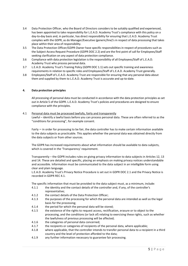- 3.4 Data Protection Officer, who the Board of Directors considers to be suitably qualified and experienced, has been appointed to take responsibility for L.E.A.D. Academy Trust's compliance with this policy on a day-to-day basis and, in particular, has direct responsibility for ensuring that L.E.A.D. Academy Trust complies with the GDPR, as do Manager/Executive (generic/line)'s in respect of data processing that takes place within their area of responsibility.
- 3.5 The Data Protection Officer/GDPR Owner have specific responsibilities in respect of procedures such as the Subject Access Request Procedure (GDPR DOC 2.2) and are the first point of call for Employees/Staff seeking clarification on any aspect of data protection compliance.
- 3.6 Compliance with data protection legislation is the responsibility of all Employees/Staff of L.E.A.D. Academy Trust who process personal data.
- 3.7 L.E.A.D. Academy Trust's Training Policy (GDPR DOC 1.1) sets out specific training and awareness requirements in relation to specific roles and Employees/Staff of L.E.A.D. Academy Trust generally.
- 3.8 Employees/Staff of L.E.A.D. Academy Trust are responsible for ensuring that any personal data about them and supplied by them to L.E.A.D. Academy Trust is accurate and up-to-date.

#### 4. Data protection principles

All processing of personal data must be conducted in accordance with the data protection principles as set out in Article 5 of the GDPR. L.E.A.D. Academy Trust's policies and procedures are designed to ensure compliance with the principles.

4.1 Personal data must be processed lawfully, fairly and transparently Lawful – identify a lawful basis before you can process personal data. These are often referred to as the "conditions for processing", for example consent.

Fairly – in order for processing to be fair, the data controller has to make certain information available to the data subjects as practicable. This applies whether the personal data was obtained directly from the data subjects or from other sources.

The GDPR has increased requirements about what information should be available to data subjects, which is covered in the 'Transparency' requirement.

Transparently – the GDPR includes rules on giving privacy information to data subjects in Articles 12, 13 and 14. These are detailed and specific, placing an emphasis on making privacy notices understandable and accessible. Information must be communicated to the data subject in an intelligible form using clear and plain language.

L.E.A.D. Academy Trust's Privacy Notice Procedure is set out in GDPR DOC 2.1 and the Privacy Notice is recorded in GDPR REC 4.1.

The specific information that must be provided to the data subject must, as a minimum, include:

- 4.1.1 the identity and the contact details of the controller and, if any, of the controller's representative;
- 4.1.2 the contact details of the Data Protection Officer;
- 4.1.3 the purposes of the processing for which the personal data are intended as well as the legal basis for the processing;
- 4.1.4 the period for which the personal data will be stored;
- 4.1.5 the existence of the rights to request access, rectification, erasure or to object to the processing, and the conditions (or lack of) relating to exercising these rights, such as whether the lawfulness of previous processing will be affected;
- 4.1.6 the categories of personal data concerned;
- 4.1.7 the recipients or categories of recipients of the personal data, where applicable;
- 4.1.8 where applicable, that the controller intends to transfer personal data to a recipient in a third country and the level of protection afforded to the data;
- 4.1.9 any further information necessary to guarantee fair processing.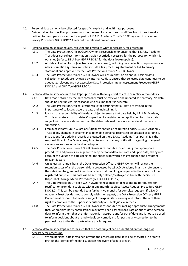- 4.2 Personal data can only be collected for specific, explicit and legitimate purposes Data obtained for specified purposes must not be used for a purpose that differs from those formally notified to the supervisory authority as part of L.E.A.D. Academy Trust's GDPR register of processing. Privacy Procedure GDPR DOC 2.1 sets out the relevant procedures.
- 4.3 Personal data must be adequate, relevant and limited to what is necessary for processing
	- 4.3.1 The Data Protection Officer/GDPR Owner is responsible for ensuring that L.E.A.D. Academy Trust does not collect information that is not strictly necessary for the purpose for which it is obtained (refer to DPIA Tool GDPR REC 4.4 for the data flow/mapping).
	- 4.3.2 All data collection forms (electronic or paper-based), including data collection requirements in new information systems, must be include a fair processing statement or link to privacy statement and approved by the Data Protection Officer / GDPR Owner.
	- 4.3.3 The Data Protection Officer / GDPR Owner will ensure that, on an annual basis all data collection methods are reviewed by Internal Audit to ensure that collected data continues to be adequate, relevant and not excessive (Data Protection Impact Assessment Procedure GDPR DOC 2.4 and DPIA Tool GDPR REC 4.4).
- 4.4 Personal data must be accurate and kept up to date with every effort to erase or rectify without delay
	- 4.4.1 Data that is stored by the data controller must be reviewed and updated as necessary. No data should be kept unless it is reasonable to assume that it is accurate.
	- 4.4.2 The Data Protection Officer is responsible for ensuring that all staff are trained in the importance of collecting accurate data and maintaining it.
	- 4.4.3 It is also the responsibility of the data subject to ensure that data held by L.E.A.D. Academy Trust is accurate and up to date. Completion of a registration or application form by a data subject will include a statement that the data contained therein is accurate at the date of submission.
	- 4.4.4 Employees/Staff/Pupil's Guardians/Suppliers should be required to notify L.E.A.D. Academy Trust of any changes in circumstance to enable personal records to be updated accordingly. Instructions for updating records are located on the L.E.A.D. Academy Trust portal. It is the responsibility of L.E.A.D. Academy Trust to ensure that any notification regarding change of circumstances is recorded and acted upon.
	- 4.4.5 The Data Protection Officer / GDPR Owner is responsible for ensuring that appropriate procedures and policies are in place to keep personal data accurate and up to date, taking into account the volume of data collected, the speed with which it might change and any other relevant factors.
	- 4.4.6 On at least an annual basis, the Data Protection Officer / GDPR Owner will review the retention dates of all the personal data processed by L.E.A.D. Academy Trust, by reference to the data inventory, and will identify any data that is no longer required in the context of the registered purpose. This data will be securely deleted/destroyed in line with the Secure Disposal of Storage Media Procedure (GDPR-C DOC 11.2.7).
	- 4.4.7 The Data Protection Officer / GDPR Owner is responsible for responding to requests for rectification from data subjects within one month (Subject Access Request Procedure GDPR DOC 2.2). This can be extended to a further two months for complex requests. If L.E.A.D. Academy Trust decides not to comply with the request, the Data Protection Officer / GDPR Owner must respond to the data subject to explain its reasoning and inform them of their right to complain to the supervisory authority and seek judicial remedy.
	- 4.4.8 The Data Protection Officer / GDPR Owner is responsible for making appropriate arrangements that, where third-party organisations may have been passed inaccurate or out-of-date personal data, to inform them that the information is inaccurate and/or out of date and is not to be used to inform decisions about the individuals concerned; and for passing any correction to the personal data to the third party where this is required.
- 4.5 Personal data must be kept in a form such that the data subject can be identified only as long as is necessary for processing.
	- 4.5.1 Where personal data is retained beyond the processing date, it will be encrypted in order to protect the identity of the data subject in the event of a data breach.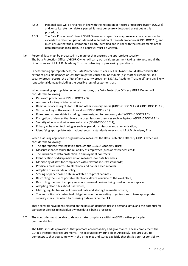- 4.5.2 Personal data will be retained in line with the Retention of Records Procedure (GDPR DOC 2.3) and, once its retention date is passed, it must be securely destroyed as set out in this procedure.
- 4.5.3 The Data Protection Officer / GDPR Owner must specifically approve any data retention that exceeds the retention periods defined in Retention of Records Procedure (GDPR DOC 2.3), and must ensure that the justification is clearly identified and in line with the requirements of the data protection legislation. This approval must be written.
- 4.6 Personal data must be processed in a manner that ensures the appropriate security The Data Protection Officer / GDPR Owner will carry out a risk assessment taking into account all the circumstances of L.E.A.D. Academy Trust's controlling or processing operations.

In determining appropriateness, the Data Protection Officer / GDPR Owner should also consider the extent of possible damage or loss that might be caused to individuals (e.g. staff or customers) if a security breach occurs, the effect of any security breach on L.E.A.D. Academy Trust itself, and any likely reputational damage including the possible loss of customer trust.

When assessing appropriate technical measures, the Data Protection Officer / GDPR Owner will consider the following:

- Password protection (GDPR-C DOC 9.2.3);
- Automatic locking of idle terminals;
- Removal of access rights for USB and other memory media (GDPR-C DOC 9.1.2 & GDPR DOC 11.2.7);
- Virus checking software and firewalls (GDPR-C DOC 6.2.1);
- Role-based access rights including those assigned to temporary staff (GDPR-C DOC 9.1.2);
- Encryption of devices that leave the organisations premises such as laptops (GDPR-C DOC 6.2.1);
- Security of local and wide area networks (GDPR-C DOC 6.2.1);
- Privacy enhancing technologies such as pseudonymisation and anonymisation;
- Identifying appropriate international security standards relevant to L.E.A.D. Academy Trust.

When assessing appropriate organisational measures the Data Protection Officer / GDPR Owner will consider the following:

- The appropriate training levels throughout L.E.A.D. Academy Trust;
- Measures that consider the reliability of employees (such as references etc.);
- The inclusion of data protection in employment contracts;
- $\bullet$  Identification of disciplinary action measures for data breaches;
- Monitoring of staff for compliance with relevant security standards;
- Physical access controls to electronic and paper based records;
- Adoption of a clear desk policy;
- Storing of paper based data in lockable fire-proof cabinets;
- Restricting the use of portable electronic devices outside of the workplace;
- Restricting the use of employee's own personal devices being used in the workplace;
- Adopting clear rules about passwords;
- Making regular backups of personal data and storing the media off-site;
- The imposition of contractual obligations on the importing organisations to take appropriate security measures when transferring data outside the EEA.

These controls have been selected on the basis of identified risks to personal data, and the potential for damage or distress to individuals whose data is being processed.

# 4.7 The controller must be able to demonstrate compliance with the GDPR's other principles (accountability)

The GDPR includes provisions that promote accountability and governance. These complement the GDPR's transparency requirements. The accountability principle in Article 5(2) requires you to demonstrate that you comply with the principles and states explicitly that this is your responsibility.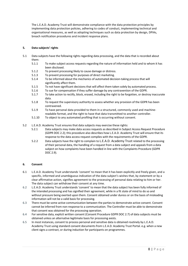The L.E.A.D. Academy Trust will demonstrate compliance with the data protection principles by implementing data protection policies, adhering to codes of conduct, implementing technical and organisational measures, as well as adopting techniques such as data protection by design, DPIAs, breach notification procedures and incident response plans.

# 5. Data subjects' rights

- 5.1 Data subjects have the following rights regarding data processing, and the data that is recorded about them:
	- 5.1.1 To make subject access requests regarding the nature of information held and to whom it has been disclosed.
	- 5.1.2 To prevent processing likely to cause damage or distress.
	- 5.1.3 To prevent processing for purposes of direct marketing.
	- 5.1.4 To be informed about the mechanics of automated decision-taking process that will significantly affect them.
	- 5.1.5 To not have significant decisions that will affect them taken solely by automated process.
	- 5.1.6 To sue for compensation if they suffer damage by any contravention of the GDPR.
	- 5.1.7 To take action to rectify, block, erased, including the right to be forgotten, or destroy inaccurate data.
	- 5.1.8 To request the supervisory authority to assess whether any provision of the GDPR has been contravened.
	- 5.1.9 To have personal data provided to them in a structured, commonly used and machinereadable format, and the right to have that data transmitted to another controller.
	- 5.1.10 To object to any automated profiling that is occurring without consent.
- 5.2 L.E.A.D. Academy Trust ensures that data subjects may exercise these rights:
	- 5.2.1 Data subjects may make data access requests as described in Subject Access Request Procedure (GDPR DOC 2.2); this procedure also describes how L.E.A.D. Academy Trust will ensure that its response to the data access request complies with the requirements of the GDPR.
	- 5.2.2 Data subjects have the right to complain to L.E.A.D. Academy Trust related to the processing of their personal data, the handling of a request from a data subject and appeals from a data subject on how complaints have been handled in line with the Complaints Procedure (GDPR DOC 2.9).

#### 6. Consent

- 6.1 L.E.A.D. Academy Trust understands 'consent' to mean that it has been explicitly and freely given, and a specific, informed and unambiguous indication of the data subject's wishes that, by statement or by a clear affirmative action, signifies agreement to the processing of personal data relating to him or her. The data subject can withdraw their consent at any time.
- 6.2 L.E.A.D. Academy Trust understands 'consent' to mean that the data subject has been fully informed of the intended processing and has signified their agreement, while in a fit state of mind to do so and without pressure being exerted upon them. Consent obtained under duress or on the basis of misleading information will not be a valid basis for processing.
- 6.3 There must be some active communication between the parties to demonstrate active consent. Consent cannot be inferred from non-response to a communication. The Controller must be able to demonstrate that consent was obtained for the processing operation.
- 6.4 For sensitive data, explicit written consent (Consent Procedure GDPR DOC 2.7) of data subjects must be obtained unless an alternative legitimate basis for processing exists.
- 6.5 In most instances, consent to process personal and sensitive data is obtained routinely by L.E.A.D. Academy Trust using standard consent documents from L.E.A.D. Academy Trust Portal. e.g. when a new client signs a contract, or during induction for participants on programmes.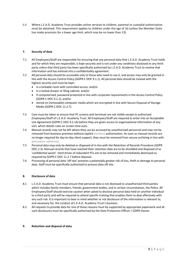6.6 Where L.E.A.D. Academy Trust provides online services to children, parental or custodial authorisation must be obtained. This requirement applies to children under the age of 16 (unless the Member State has made provision for a lower age limit, which may be no lower than 13).

# 7. Security of data

- 7.1 All Employees/Staff are responsible for ensuring that any personal data that L.E.A.D. Academy Trust holds and for which they are responsible, is kept securely and is not under any conditions disclosed to any third party unless that third party has been specifically authorised by L.E.A.D. Academy Trust to receive that information and has entered into a confidentiality agreement.
- 7.2 All personal data should be accessible only to those who need to use it, and access may only be granted in line with the Access Control Policy (GDPR-C DOC 9.1.1). All personal data should be treated with the highest security and must be kept:
	- in a lockable room with controlled access; and/or
	- in a locked drawer or filing cabinet; and/or
	- if computerised, password protected in line with corporate requirements in the Access Control Policy (GDPR-C DOC 9.1.1); and/or
	- stored on (removable) computer media which are encrypted in line with Secure Disposal of Storage Media (GDPR-C DOC 11.2.7).
- 7.3 Care must be taken to ensure that PC screens and terminals are not visible except to authorised Employees/Staff of L.E.A.D. Academy Trust. All Employees/Staff are required to enter into an Acceptable Use Agreement (GDPR-C DOC 9.2.1A) before they are given access to organisational information of any sort, which details rules on screen time-outs.
- 7.4 Manual records may not be left where they can be accessed by unauthorised personnel and may not be removed from business premises without explicit [written] authorisation. As soon as manual records are no longer required for day-to-day client support, they must be removed from secure archiving in line with [procedure reference].
- 7.5 Personal data may only be deleted or disposed of in line with the Retention of Records Procedure (GDPR DOC 2.3). Manual records that have reached their retention date are to be shredded and disposed of as 'confidential waste'. Hard drives of redundant PCs are to be removed and immediately destroyed as required by GDPR-C DOC 11.2.7 before disposal.
- 7.6 Processing of personal data 'off-site' presents a potentially greater risk of loss, theft or damage to personal data. Staff must be specifically authorised to process data off-site.

#### 8. Disclosure of data

- 8.1 L.E.A.D. Academy Trust must ensure that personal data is not disclosed to unauthorised third parties which includes family members, friends, government bodies, and in certain circumstances, the Police. All Employees/Staff should exercise caution when asked to disclose personal data held on another individual to a third party and will be required to attend specific training that enables them to deal effectively with any such risk. It is important to bear in mind whether or not disclosure of the information is relevant to, and necessary for, the conduct of L.E.A.D. Academy Trust's business.
- 8.2 All requests to provide data for one of these reasons must be supported by appropriate paperwork and all such disclosures must be specifically authorised by the Data Protection Officer / GDPR Owner.

#### 9. Retention and disposal of data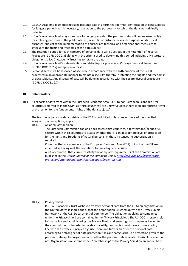- 9.1 L.E.A.D. Academy Trust shall not keep personal data in a form that permits identification of data subjects for longer a period than is necessary, in relation to the purpose(s) for which the data was originally collected.
- 9.2 L.E.A.D. Academy Trust may store data for longer periods if the personal data will be processed solely for archiving purposes in the public interest, scientific or historical research purposes or statistical purposes, subject to the implementation of appropriate technical and organisational measures to safeguard the rights and freedoms of the data subject.
- 9.3 The retention period for each category of personal data will be set out in the Retention of Records Procedure (GDPR DOC 2.3) along with the criteria used to determine this period including any statutory obligations L.E.A.D. Academy Trust has to retain the data.
- 9.4 L.E.A.D. Academy Trust's data retention and data disposal procedures (Storage Removal Procedure GDPR-C DOC 11.2.7) will apply in all cases.
- 9.5 Personal data must be disposed of securely in accordance with the sixth principle of the GDPR processed in an appropriate manner to maintain security, thereby protecting the "rights and freedoms" of data subjects. Any disposal of data will be done in accordance with the secure disposal procedure (GDPR-C DOC 11.2.7).

# 10. Data transfers

10.1 All exports of data from within the European Economic Area (EEA) to non-European Economic Area countries (referred to in the GDPR as 'third countries') are unlawful unless there is an appropriate "level of protection for the fundamental rights of the data subjects".

The transfer of personal data outside of the EEA is prohibited unless one or more of the specified safeguards, or exceptions, apply:

10.1.1 An adequacy decision

The European Commission can and does assess third countries, a territory and/or specific sectors within third countries to assess whether there is an appropriate level of protection for the rights and freedoms of natural persons. In these instances no authorisation is required.

Countries that are members of the European Economic Area (EEA) but not of the EU are accepted as having met the conditions for an adequacy decision.

A list of countries that currently satisfy the adequacy requirements of the Commission are published in the Official Journal of the European Union. http://ec.europa.eu/justice/dataprotection/international-transfers/adequacy/index\_en.htm

# 10.1.2 Privacy Shield

If L.E.A.D. Academy Trust wishes to transfer personal data from the EU to an organisation in the United States it should check that the organisation is signed up with the Privacy Shield framework at the U.S. Department of Commerce. The obligation applying to companies under the Privacy Shield are contained in the "Privacy Principles". The US DOC is responsible for managing and administering the Privacy Shield and ensuring that companies live up to their commitments. In order to be able to certify, companies must have a privacy policy in line with the Privacy Principles e.g. use, store and further transfer the personal data according to a strong set of data protection rules and safeguards. The protection given to the personal data applies regardless of whether the personal data is related to an EU resident or not. Organisations must renew their "membership" to the Privacy Shield on an annual basis.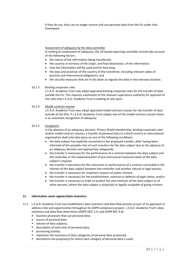If they do not, they can no longer receive and use personal data from the EU under that framework.

# Assessment of adequacy by the data controller

In making an assessment of adequacy, the UK based exporting controller should take account of the following factors:

- the nature of the information being transferred;
- the country or territory of the origin, and final destination, of the information;
- how the information will be used and for how long;
- the laws and practices of the country of the transferee, including relevant codes of practice and international obligations; and
- the security measures that are to be taken as regards the data in the overseas location.

#### 10.1.3 Binding corporate rules

L.E.A.D. Academy Trust may adopt approved binding corporate rules for the transfer of data outside the EU. This requires submission to the relevant supervisory authority for approval of the rules that L.E.A.D. Academy Trust is seeking to rely upon.

# 10.1.4 Model contract clauses

L.E.A.D. Academy Trust may adopt approved model contract clauses for the transfer of data outside of the EEA. If L.E.A.D. Academy Trust adopts one of the model contract clauses there is an automatic recognition of adequacy.

#### 10.1.5 Exceptions

In the absence of an adequacy decision, Privacy Shield membership, binding corporate rules and/or model contract clauses, a transfer of personal data to a third country or international organisation shall only take place on one of the following conditions:

- the data subject has explicitly consented to the proposed transfer, after having been informed of the possible risks of such transfers for the data subject due to the absence of an adequacy decision and appropriate safeguards;
- the transfer is necessary for the performance of a contract between the data subject and the controller or the implementation of pre-contractual measures taken at the data subject's request;
- the transfer is necessary for the conclusion or performance of a contract concluded in the interest of the data subject between the controller and another natural or legal person;
- the transfer is necessary for important reasons of public interest;
- the transfer is necessary for the establishment, exercise or defence of legal claims; and/or
- the transfer is necessary in order to protect the vital interests of the data subject or of other persons, where the data subject is physically or legally incapable of giving consent.

#### 11. Information asset register/data inventory

- 11.1 L.E.A.D. Academy Trust has established a data inventory and data flow process as part of its approach to address risks and opportunities throughout its GDPR compliance project. L.E.A.D. Academy Trust's data inventory and data flow determines (GDPR DOC 2.4, and GDPR REC 4.4):
	- business processes that use personal data;
	- source of personal data;
	- volume of data subjects;
	- description of each item of personal data;
	- processing activity;
	- maintains the inventory of data categories of personal data processed;
	- documents the purpose(s) for which each category of personal data is used;